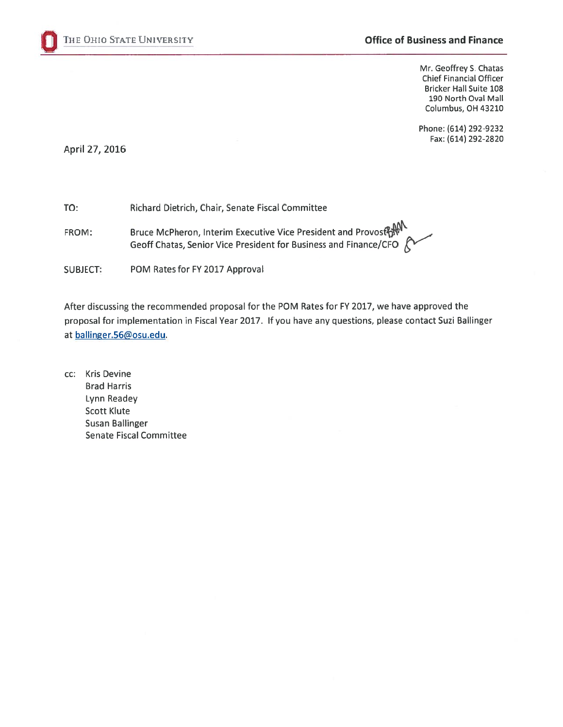Mr. Geoffrey S. Chatas **Chief Financial Officer Bricker Hall Suite 108** 190 North Oval Mall Columbus, OH 43210

Phone: (614) 292-9232 Fax: (614) 292-2820

April 27, 2016

TO: Richard Dietrich, Chair, Senate Fiscal Committee

Bruce McPheron, Interim Executive Vice President and Provosthe FROM: Geoff Chatas, Senior Vice President for Business and Finance/CFO  $\bigwedge$ 

**SUBJECT:** POM Rates for FY 2017 Approval

After discussing the recommended proposal for the POM Rates for FY 2017, we have approved the proposal for implementation in Fiscal Year 2017. If you have any questions, please contact Suzi Ballinger at ballinger.56@osu.edu.

cc: Kris Devine **Brad Harris** Lynn Readey **Scott Klute Susan Ballinger Senate Fiscal Committee**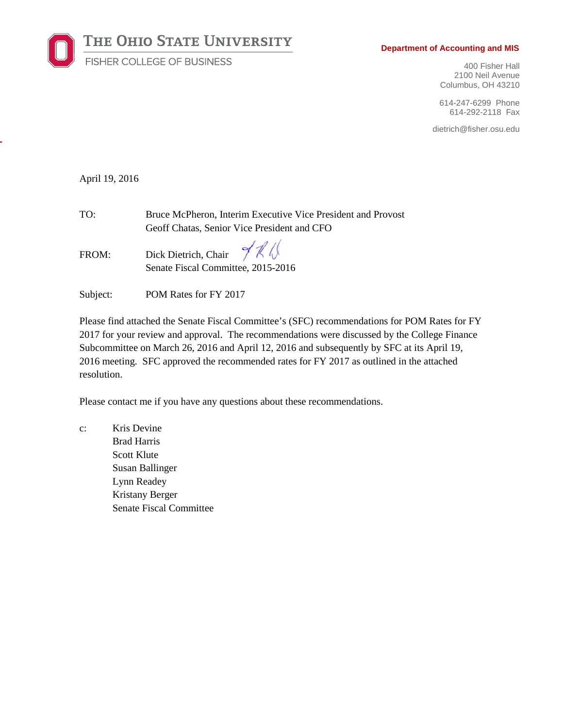

#### **Department of Accounting and MIS**

400 Fisher Hall 2100 Neil Avenue Columbus, OH 43210

614-247-6299 Phone 614-292-2118 Fax

dietrich@fisher.osu.edu

April 19, 2016

TO: Bruce McPheron, Interim Executive Vice President and Provost Geoff Chatas, Senior Vice President and CFO

 $H$ FROM: Dick Dietrich, Chair Senate Fiscal Committee, 2015-2016

Subject: POM Rates for FY 2017

Please find attached the Senate Fiscal Committee's (SFC) recommendations for POM Rates for FY 2017 for your review and approval. The recommendations were discussed by the College Finance Subcommittee on March 26, 2016 and April 12, 2016 and subsequently by SFC at its April 19, 2016 meeting. SFC approved the recommended rates for FY 2017 as outlined in the attached resolution.

Please contact me if you have any questions about these recommendations.

c: Kris Devine Brad Harris Scott Klute Susan Ballinger Lynn Readey Kristany Berger Senate Fiscal Committee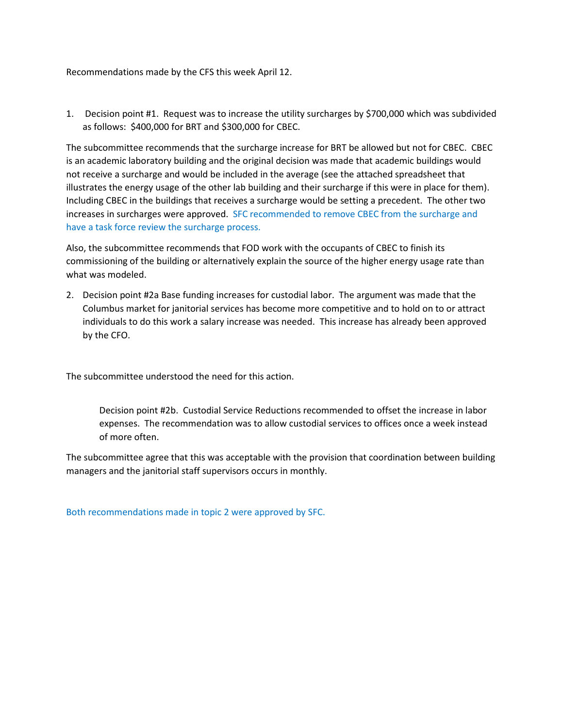Recommendations made by the CFS this week April 12.

1. Decision point #1. Request was to increase the utility surcharges by \$700,000 which was subdivided as follows: \$400,000 for BRT and \$300,000 for CBEC.

The subcommittee recommends that the surcharge increase for BRT be allowed but not for CBEC. CBEC is an academic laboratory building and the original decision was made that academic buildings would not receive a surcharge and would be included in the average (see the attached spreadsheet that illustrates the energy usage of the other lab building and their surcharge if this were in place for them). Including CBEC in the buildings that receives a surcharge would be setting a precedent. The other two increases in surcharges were approved. SFC recommended to remove CBEC from the surcharge and have a task force review the surcharge process.

Also, the subcommittee recommends that FOD work with the occupants of CBEC to finish its commissioning of the building or alternatively explain the source of the higher energy usage rate than what was modeled.

2. Decision point #2a Base funding increases for custodial labor. The argument was made that the Columbus market for janitorial services has become more competitive and to hold on to or attract individuals to do this work a salary increase was needed. This increase has already been approved by the CFO.

The subcommittee understood the need for this action.

Decision point #2b. Custodial Service Reductions recommended to offset the increase in labor expenses. The recommendation was to allow custodial services to offices once a week instead of more often.

The subcommittee agree that this was acceptable with the provision that coordination between building managers and the janitorial staff supervisors occurs in monthly.

Both recommendations made in topic 2 were approved by SFC.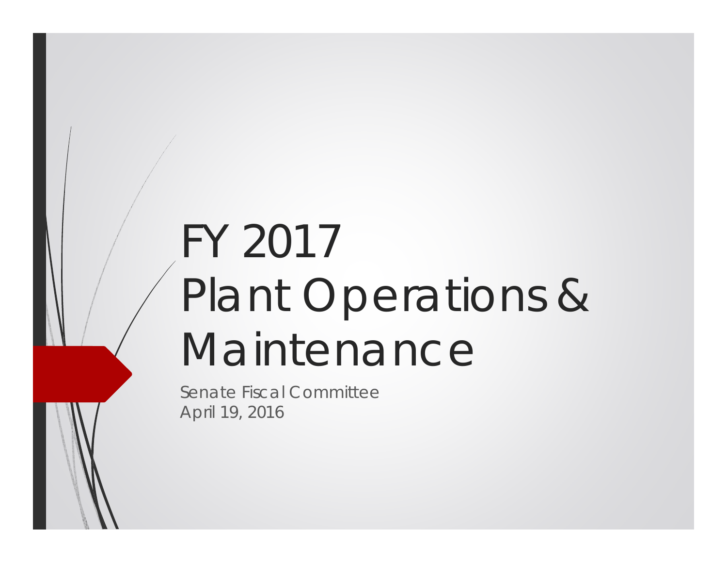# FY 2017Plant Operations & Maintenance

Senate Fiscal CommitteeApril 19, 2016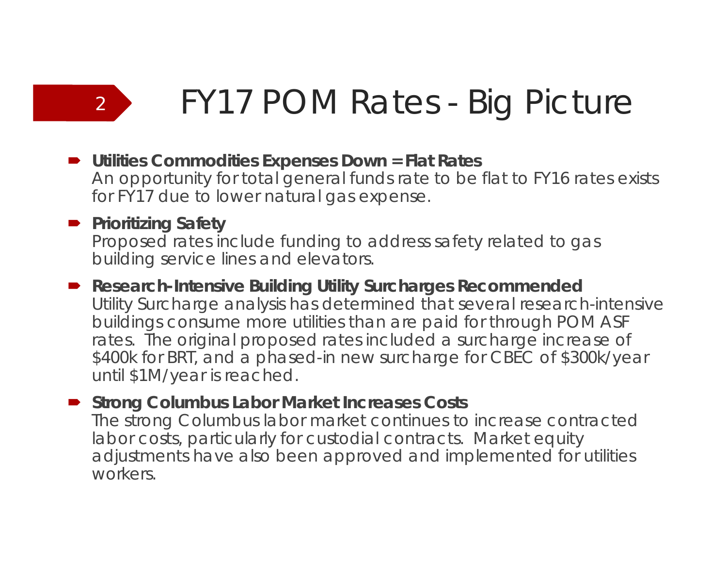### FY17 POM Rates - Big Picture

- **Utilities Commodities Expenses Down = Flat Rates** An opportunity for total general funds rate to be flat to FY16 rates exists for FY17 due to lower natural gas expense.
- **Prioritizing Safety** Proposed rates include funding to address safety related to gas building service lines and elevators.
- **Research-Intensive Building Utility Surcharges Recommended** Utility Surcharge analysis has determined that several research-intensive buildings consume more utilities than are paid for through POM ASF rates. The original proposed rates included a surcharge increase of \$400k for BRT, and a phased-in new surcharge for CBEC of \$300k/year until \$1M/year is reached.
- **Strong Columbus Labor Market Increases Costs**

2

The strong Columbus labor market continues to increase contracted labor costs, particularly for custodial contracts. Market equity adjustments have also been approved and implemented for utilities workers.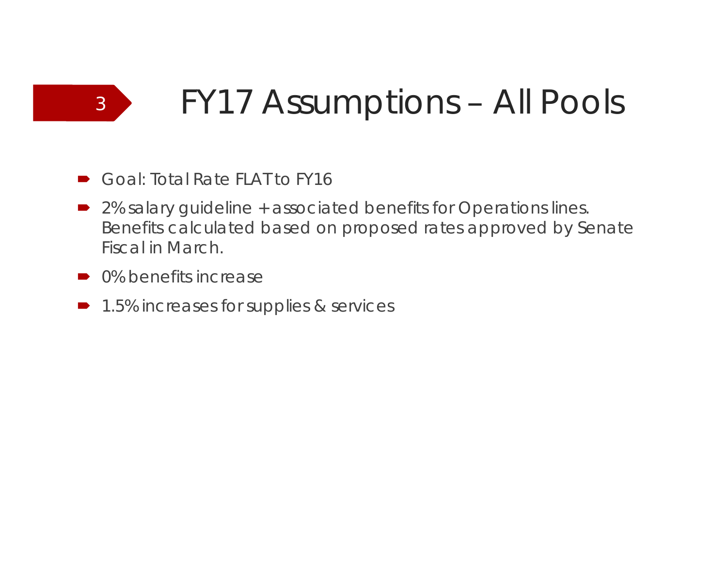### FY17 Assumptions – All Pools

- D Goal: Total Rate FLAT to FY16
- 2% salary guideline + associated benefits for Operations lines. Benefits calculated based on proposed rates approved by Senate Fiscal in March.
- D 0% benefits increase

3

 $\blacksquare$ 1.5% increases for supplies & services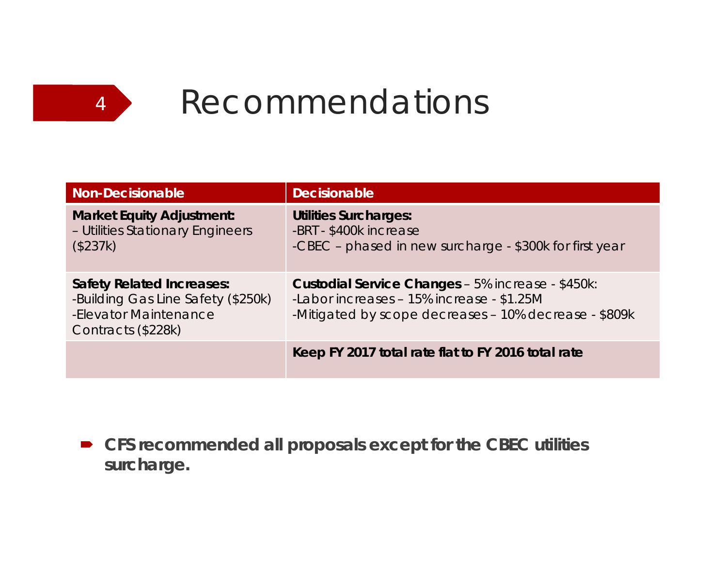

#### Recommendations

| <b>Non-Decisionable</b>                                                                                               | <b>Decisionable</b>                                                                                                                                            |
|-----------------------------------------------------------------------------------------------------------------------|----------------------------------------------------------------------------------------------------------------------------------------------------------------|
| <b>Market Equity Adjustment:</b><br>- Utilities Stationary Engineers<br>(\$237k)                                      | <b>Utilities Surcharges:</b><br>-BRT - \$400k increase<br>-CBEC - phased in new surcharge - \$300k for first year                                              |
| <b>Safety Related Increases:</b><br>-Building Gas Line Safety (\$250k)<br>-Elevator Maintenance<br>Contracts (\$228k) | <b>Custodial Service Changes - 5% increase - \$450k:</b><br>-Labor increases - 15% increase - \$1.25M<br>-Mitigated by scope decreases - 10% decrease - \$809k |
|                                                                                                                       | Keep FY 2017 total rate flat to FY 2016 total rate                                                                                                             |

 **CFS recommended all proposals except for the CBEC utilities surcharge.**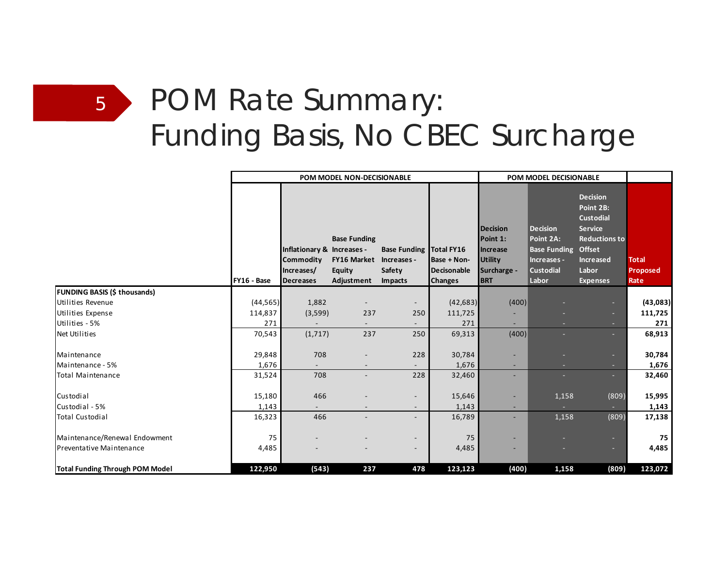

#### POM Rate Summary: Funding Basis, No CBEC Surcharge

|                                        |             |                                                                                  | POM MODEL NON-DECISIONABLE                                        |                                                                |                                                                          | POM MODEL DECISIONABLE                                                                 |                                                                                                 |                                                                                                                                                      |                                  |
|----------------------------------------|-------------|----------------------------------------------------------------------------------|-------------------------------------------------------------------|----------------------------------------------------------------|--------------------------------------------------------------------------|----------------------------------------------------------------------------------------|-------------------------------------------------------------------------------------------------|------------------------------------------------------------------------------------------------------------------------------------------------------|----------------------------------|
|                                        | FY16 - Base | Inflationary & Increases -<br><b>Commodity</b><br>Increases/<br><b>Decreases</b> | <b>Base Funding</b><br><b>FY16 Market</b><br>Equity<br>Adjustment | <b>Base Funding</b><br>Increases -<br>Safety<br><b>Impacts</b> | <b>Total FY16</b><br>Base + Non-<br><b>Decisonable</b><br><b>Changes</b> | <b>Decision</b><br>Point 1:<br>Increase<br><b>Utility</b><br>Surcharge -<br><b>BRT</b> | <b>Decision</b><br>Point 2A:<br><b>Base Funding</b><br>Increases -<br><b>Custodial</b><br>Labor | <b>Decision</b><br>Point 2B:<br><b>Custodial</b><br><b>Service</b><br><b>Reductions to</b><br>Offset<br><b>Increased</b><br>Labor<br><b>Expenses</b> | <b>Total</b><br>Proposed<br>Rate |
| <b>FUNDING BASIS (\$ thousands)</b>    |             |                                                                                  |                                                                   |                                                                |                                                                          |                                                                                        |                                                                                                 |                                                                                                                                                      |                                  |
| Utilities Revenue                      | (44, 565)   | 1,882                                                                            |                                                                   |                                                                | (42, 683)                                                                | (400)                                                                                  |                                                                                                 | ь                                                                                                                                                    | (43,083)                         |
| Utilities Expense                      | 114,837     | (3,599)                                                                          | 237                                                               | 250                                                            | 111,725                                                                  |                                                                                        |                                                                                                 | н                                                                                                                                                    | 111,725                          |
| Utilities - 5%                         | 271         |                                                                                  |                                                                   |                                                                | 271                                                                      |                                                                                        |                                                                                                 |                                                                                                                                                      | 271                              |
| Net Utilities                          | 70,543      | (1,717)                                                                          | 237                                                               | 250                                                            | 69,313                                                                   | (400)                                                                                  |                                                                                                 | ь                                                                                                                                                    | 68,913                           |
| Maintenance                            | 29,848      | 708                                                                              |                                                                   | 228                                                            | 30,784                                                                   | ٠                                                                                      |                                                                                                 | ь                                                                                                                                                    | 30,784                           |
| Maintenance - 5%                       | 1,676       |                                                                                  |                                                                   | $\overline{\phantom{a}}$                                       | 1,676                                                                    | ٠                                                                                      |                                                                                                 | ь                                                                                                                                                    | 1,676                            |
| <b>Total Maintenance</b>               | 31,524      | 708                                                                              | $\overline{\phantom{a}}$                                          | 228                                                            | 32,460                                                                   | ۰                                                                                      |                                                                                                 | н                                                                                                                                                    | 32,460                           |
| Custodial                              | 15,180      | 466                                                                              |                                                                   | $\overline{\phantom{a}}$                                       | 15,646                                                                   | ٠                                                                                      | 1,158                                                                                           | (809)                                                                                                                                                | 15,995                           |
| Custodial - 5%                         | 1,143       |                                                                                  |                                                                   | $\overline{\phantom{a}}$                                       | 1,143                                                                    | ٠                                                                                      |                                                                                                 |                                                                                                                                                      | 1,143                            |
| <b>Total Custodial</b>                 | 16,323      | 466                                                                              |                                                                   | $\overline{\phantom{a}}$                                       | 16,789                                                                   | ٠                                                                                      | 1,158                                                                                           | (809)                                                                                                                                                | 17,138                           |
| Maintenance/Renewal Endowment          | 75          |                                                                                  |                                                                   | $\overline{\phantom{a}}$                                       | 75                                                                       |                                                                                        |                                                                                                 | ь                                                                                                                                                    | 75                               |
| Preventative Maintenance               | 4,485       |                                                                                  |                                                                   | $\overline{\phantom{a}}$                                       | 4,485                                                                    |                                                                                        |                                                                                                 | н                                                                                                                                                    | 4,485                            |
| <b>Total Funding Through POM Model</b> | 122,950     | (543)                                                                            | 237                                                               | 478                                                            | 123,123                                                                  | (400)                                                                                  | 1,158                                                                                           | (809)                                                                                                                                                | 123,072                          |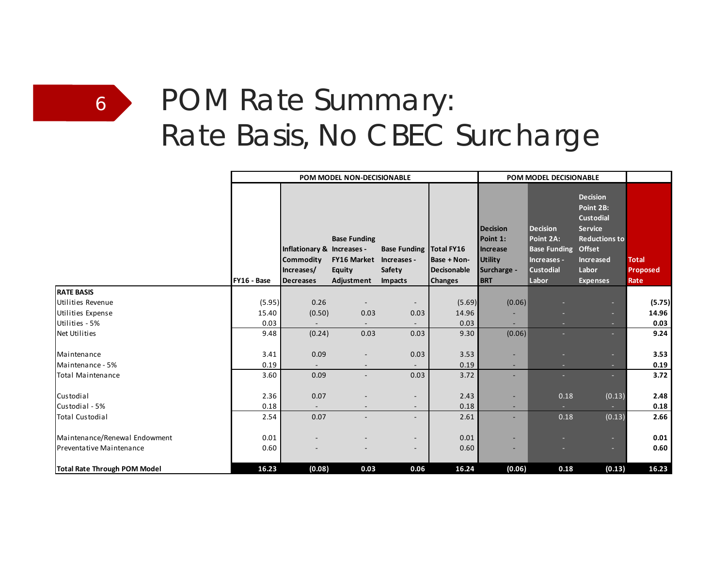6

#### POM Rate Summary: Rate Basis, No CBEC Surcharge

|                                     |             |                                                                           | POM MODEL NON-DECISIONABLE                                        |                                                                |                                                                   | POM MODEL DECISIONABLE                                                                 |                                                                                                 |                                                                                                                                               |                                  |
|-------------------------------------|-------------|---------------------------------------------------------------------------|-------------------------------------------------------------------|----------------------------------------------------------------|-------------------------------------------------------------------|----------------------------------------------------------------------------------------|-------------------------------------------------------------------------------------------------|-----------------------------------------------------------------------------------------------------------------------------------------------|----------------------------------|
|                                     | FY16 - Base | Inflationary & Increases -<br>Commodity<br>Increases/<br><b>Decreases</b> | <b>Base Funding</b><br><b>FY16 Market</b><br>Equity<br>Adjustment | <b>Base Funding</b><br>Increases -<br>Safety<br><b>Impacts</b> | Total FY16<br>Base + Non-<br><b>Decisonable</b><br><b>Changes</b> | <b>Decision</b><br>Point 1:<br>Increase<br><b>Utility</b><br>Surcharge -<br><b>BRT</b> | <b>Decision</b><br>Point 2A:<br><b>Base Funding</b><br>Increases -<br><b>Custodial</b><br>Labor | <b>Decision</b><br>Point 2B:<br><b>Custodial</b><br><b>Service</b><br><b>Reductions to</b><br>Offset<br>Increased<br>Labor<br><b>Expenses</b> | <b>Total</b><br>Proposed<br>Rate |
| <b>RATE BASIS</b>                   |             |                                                                           |                                                                   |                                                                |                                                                   |                                                                                        |                                                                                                 |                                                                                                                                               |                                  |
| Utilities Revenue                   | (5.95)      | 0.26                                                                      | $\overline{\phantom{a}}$                                          |                                                                | (5.69)                                                            | (0.06)                                                                                 |                                                                                                 |                                                                                                                                               | (5.75)                           |
| Utilities Expense                   | 15.40       | (0.50)                                                                    | 0.03                                                              | 0.03                                                           | 14.96                                                             |                                                                                        |                                                                                                 | в                                                                                                                                             | 14.96                            |
| Utilities - 5%                      | 0.03        |                                                                           |                                                                   |                                                                | 0.03                                                              |                                                                                        |                                                                                                 |                                                                                                                                               | 0.03                             |
| Net Utilities                       | 9.48        | (0.24)                                                                    | 0.03                                                              | 0.03                                                           | 9.30                                                              | (0.06)                                                                                 |                                                                                                 | н                                                                                                                                             | 9.24                             |
| Maintenance                         | 3.41        | 0.09                                                                      |                                                                   | 0.03                                                           | 3.53                                                              | ٠                                                                                      |                                                                                                 | н                                                                                                                                             | 3.53                             |
| Maintenance - 5%                    | 0.19        |                                                                           |                                                                   |                                                                | 0.19                                                              |                                                                                        |                                                                                                 | н                                                                                                                                             | 0.19                             |
| <b>Total Maintenance</b>            | 3.60        | 0.09                                                                      |                                                                   | 0.03                                                           | 3.72                                                              | ۰                                                                                      | в                                                                                               | н                                                                                                                                             | 3.72                             |
| Custodial                           | 2.36        | 0.07                                                                      |                                                                   | $\overline{\phantom{a}}$                                       | 2.43                                                              | ٠                                                                                      | 0.18                                                                                            | (0.13)                                                                                                                                        | 2.48                             |
| Custodial - 5%                      | 0.18        |                                                                           |                                                                   | $\overline{\phantom{0}}$                                       | 0.18                                                              | $\overline{\phantom{0}}$                                                               | $\sim 10^{-1}$                                                                                  |                                                                                                                                               | 0.18                             |
| <b>Total Custodial</b>              | 2.54        | 0.07                                                                      |                                                                   | $\overline{\phantom{a}}$                                       | 2.61                                                              | ٠                                                                                      | 0.18                                                                                            | (0.13)                                                                                                                                        | 2.66                             |
| Maintenance/Renewal Endowment       | 0.01        |                                                                           |                                                                   | $\overline{\phantom{a}}$                                       | 0.01                                                              | ٠                                                                                      |                                                                                                 | н                                                                                                                                             | 0.01                             |
| Preventative Maintenance            | 0.60        |                                                                           |                                                                   | $\overline{\phantom{0}}$                                       | 0.60                                                              |                                                                                        |                                                                                                 | ×                                                                                                                                             | 0.60                             |
| <b>Total Rate Through POM Model</b> | 16.23       | (0.08)                                                                    | 0.03                                                              | 0.06                                                           | 16.24                                                             | (0.06)                                                                                 | 0.18                                                                                            | (0.13)                                                                                                                                        | 16.23                            |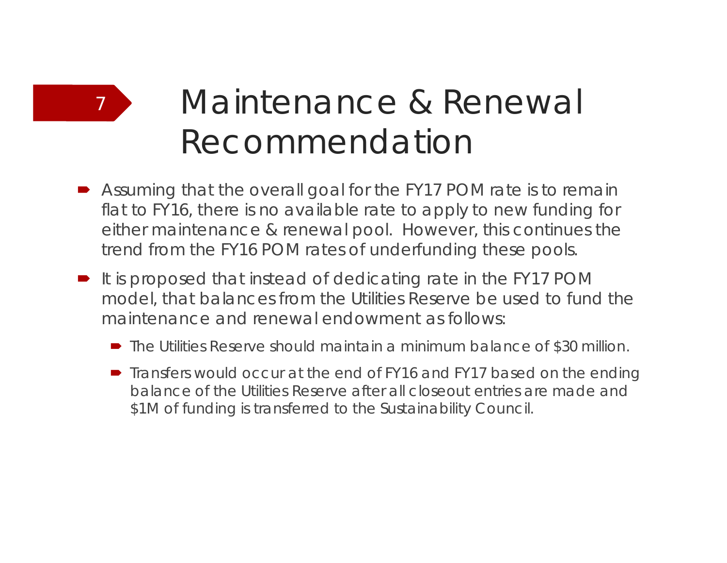# Maintenance & Renewal Recommendation

- Assuming that the overall goal for the FY17 POM rate is to remain flat to FY16, there is no available rate to apply to new funding for either maintenance & renewal pool. However, this continues the trend from the FY16 POM rates of underfunding these pools.
- It is proposed that instead of dedicating rate in the FY17 POM model, that balances from the Utilities Reserve be used to fund the maintenance and renewal endowment as follows:
	- The Utilities Reserve should maintain a minimum balance of \$30 million.
	- Transfers would occur at the end of FY16 and FY17 based on the ending balance of the Utilities Reserve after all closeout entries are made and \$1M of funding is transferred to the Sustainability Council.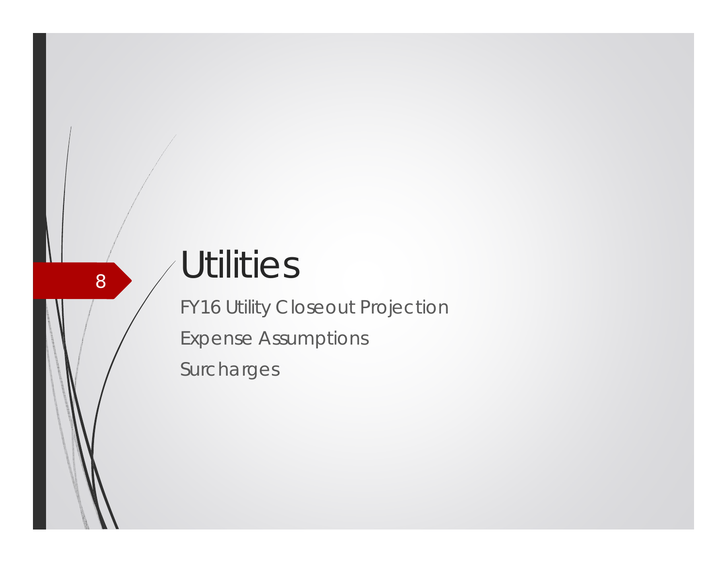# Utilities

8

FY16 Utility Closeout Projection Expense Assumptions Surcharges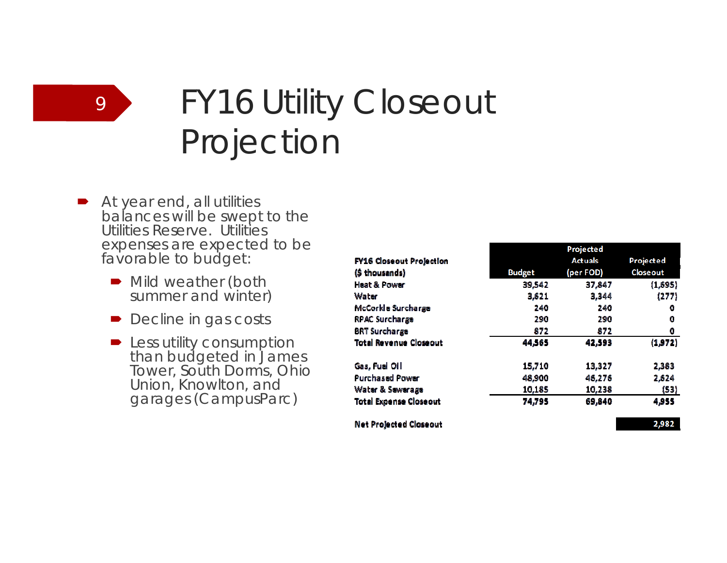9

## FY16 Utility Closeout Projection

- At year end, all utilities balances will be swept to the Utilities Reserve. Utilities expenses are expected to be favorable to budget:
	- Mild weather (both summer and winter)
	- Decline in gas costs
	- **•** Less utility consumption than budgeted in James Tower, South Dorms, Ohio Union, Knowlton, and garages (CampusParc)

| <b>FY16 Closeout Projection</b> |               | Projected<br><b>Actuals</b> | Projected |
|---------------------------------|---------------|-----------------------------|-----------|
| (\$ thousands)                  | <b>Budget</b> | (per FOD)                   | Closeout  |
| Heat & Power                    | 39,542        | 37,847                      | (1,695)   |
| Water                           | 3,621         | 3,344                       | (277)     |
| McCorkle Surcharge              | 240           | 240                         | α         |
| <b>RPAC Surcharge</b>           | 290           | 290                         | ο         |
| <b>BRT Surcharge</b>            | 872           | 872                         | o         |
| <b>Total Revenue Closeout</b>   | 44,565        | 42,593                      | (1,972)   |
| Gas, Fuel Oil                   | 15,710        | 13,327                      | 2,383     |
| <b>Purchased Power</b>          | 48,900        | 46,276                      | 2,624     |
| Water & Sewerage                | 10,185        | 10,238                      | (53)      |
| <b>Total Expense Closeout</b>   | 74,795        | 69,840                      | 4,955     |
| <b>Net Projected Closeout</b>   |               |                             | 2,982     |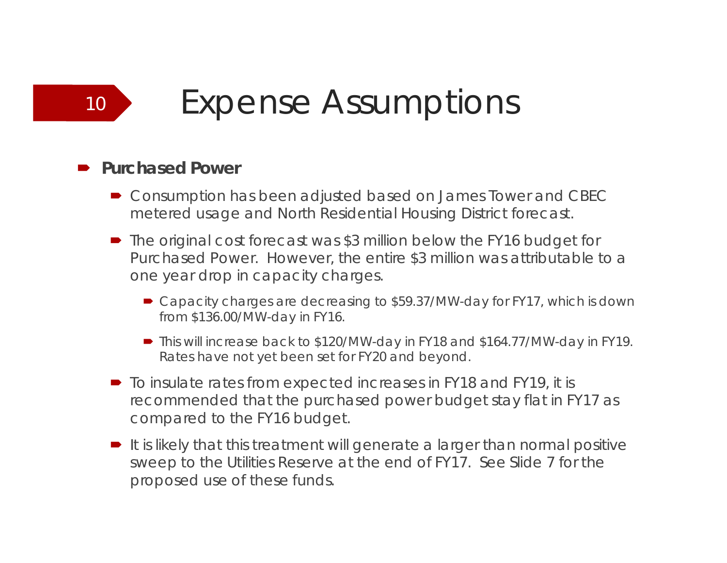### Expense Assumptions

#### **Purchased Power**

- Consumption has been adjusted based on James Tower and CBEC metered usage and North Residential Housing District forecast.
- The original cost forecast was \$3 million below the FY16 budget for Purchased Power. However, the entire \$3 million was attributable to a one year drop in capacity charges.
	- Capacity charges are decreasing to \$59.37/MW-day for FY17, which is down from \$136.00/MW-day in FY16.
	- This will increase back to \$120/MW-day in FY18 and \$164.77/MW-day in FY19. Rates have not yet been set for FY20 and beyond.
- To insulate rates from expected increases in FY18 and FY19, it is recommended that the purchased power budget stay flat in FY17 as compared to the FY16 budget.
- $\blacktriangleright$  It is likely that this treatment will generate a larger than normal positive sweep to the Utilities Reserve at the end of FY17. See Slide 7 for the proposed use of these funds.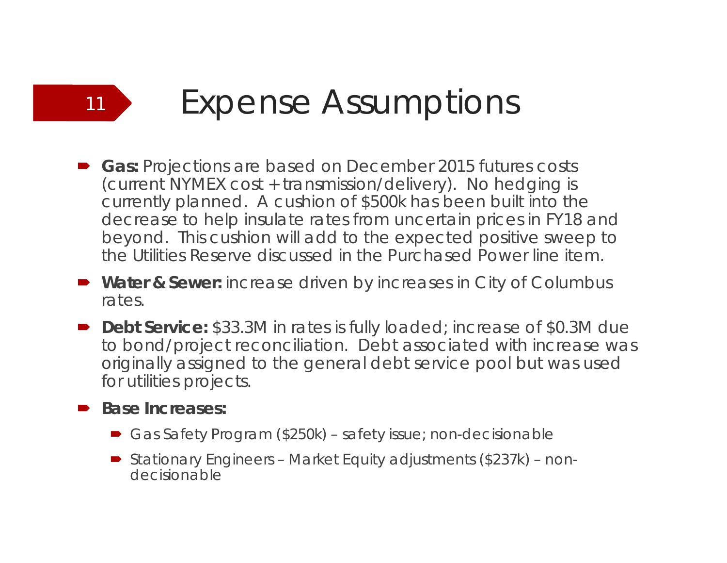#### Expense Assumptions 11

- **Gas:** Projections are based on December 2015 futures costs (current NYMEX cost + transmission/delivery). No hedging is currently planned. A cushion of \$500k has been built into the decrease to help insulate rates from uncertain prices in FY18 and beyond. This cushion will add to the expected positive sweep to the Utilities Reserve discussed in the Purchased Power line item.
- **Water & Sewer:** increase driven by increases in City of Columbus rates.
- **Debt Service:** \$33.3M in rates is fully loaded; increase of \$0.3M due to bond/project reconciliation. Debt associated with increase was originally assigned to the general debt service pool but was used for utilities projects.
- **Base Increases:** 
	- Gas Safety Program (\$250k) safety issue; non-decisionable
	- Stationary Engineers Market Equity adjustments (\$237k) nondecisionable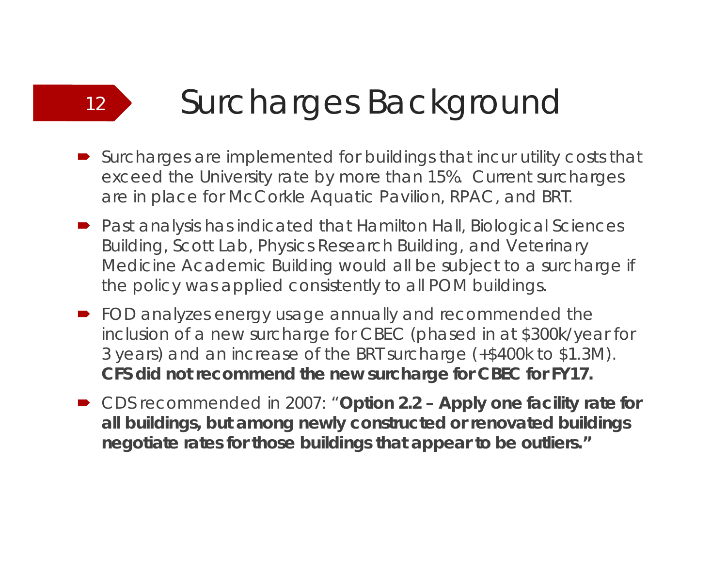## Surcharges Background

- Surcharges are implemented for buildings that incur utility costs that exceed the University rate by more than 15%. Current surcharges are in place for McCorkle Aquatic Pavilion, RPAC, and BRT.
- Past analysis has indicated that Hamilton Hall, Biological Sciences Building, Scott Lab, Physics Research Building, and Veterinary Medicine Academic Building would all be subject to a surcharge if the policy was applied consistently to all POM buildings.
- FOD analyzes energy usage annually and recommended the inclusion of a new surcharge for CBEC (phased in at \$300k/year for 3 years) and an increase of the BRT surcharge (+\$400k to \$1.3M). **CFS did not recommend the new surcharge for CBEC for FY17.**
- CDS recommended in 2007: "Option 2.2 Apply one facility rate for **all buildings, but among newly constructed or renovated buildings negotiate rates for those buildings that appear to be outliers."**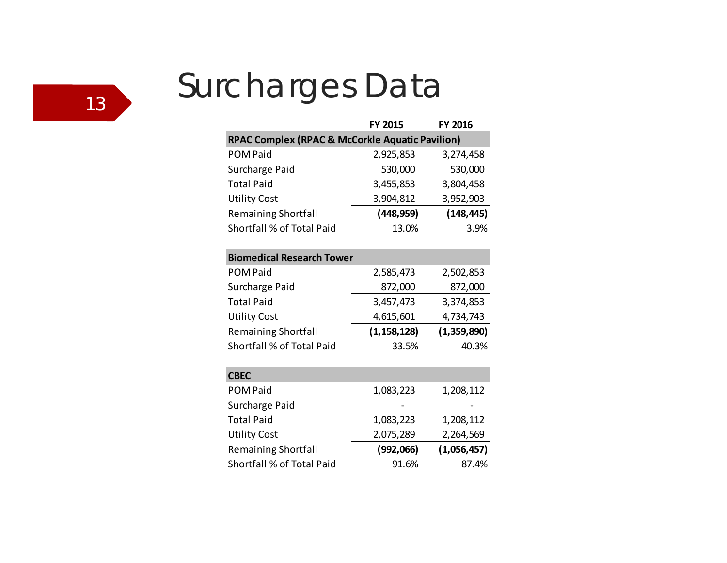## Surcharges Data

|                                                            | <b>FY 2015</b> | <b>FY 2016</b> |  |  |  |  |  |  |  |
|------------------------------------------------------------|----------------|----------------|--|--|--|--|--|--|--|
| <b>RPAC Complex (RPAC &amp; McCorkle Aquatic Pavilion)</b> |                |                |  |  |  |  |  |  |  |
| <b>POM Paid</b>                                            | 2,925,853      | 3,274,458      |  |  |  |  |  |  |  |
| Surcharge Paid                                             | 530,000        | 530,000        |  |  |  |  |  |  |  |
| <b>Total Paid</b>                                          | 3,455,853      | 3,804,458      |  |  |  |  |  |  |  |
| <b>Utility Cost</b>                                        | 3,904,812      | 3,952,903      |  |  |  |  |  |  |  |
| <b>Remaining Shortfall</b>                                 | (448, 959)     | (148, 445)     |  |  |  |  |  |  |  |
| Shortfall % of Total Paid                                  | 13.0%          | 3.9%           |  |  |  |  |  |  |  |

| <b>Biomedical Research Tower</b> |               |             |
|----------------------------------|---------------|-------------|
| POM Paid                         | 2,585,473     | 2,502,853   |
| Surcharge Paid                   | 872,000       | 872,000     |
| <b>Total Paid</b>                | 3,457,473     | 3,374,853   |
| <b>Utility Cost</b>              | 4,615,601     | 4,734,743   |
| <b>Remaining Shortfall</b>       | (1, 158, 128) | (1,359,890) |
| Shortfall % of Total Paid        | 33.5%         | 40.3%       |

| <b>CBEC</b>                |           |             |
|----------------------------|-----------|-------------|
| POM Paid                   | 1,083,223 | 1,208,112   |
| Surcharge Paid             |           |             |
| <b>Total Paid</b>          | 1,083,223 | 1,208,112   |
| <b>Utility Cost</b>        | 2,075,289 | 2,264,569   |
| <b>Remaining Shortfall</b> | (992,066) | (1,056,457) |
| Shortfall % of Total Paid  | 91.6%     | 87.4%       |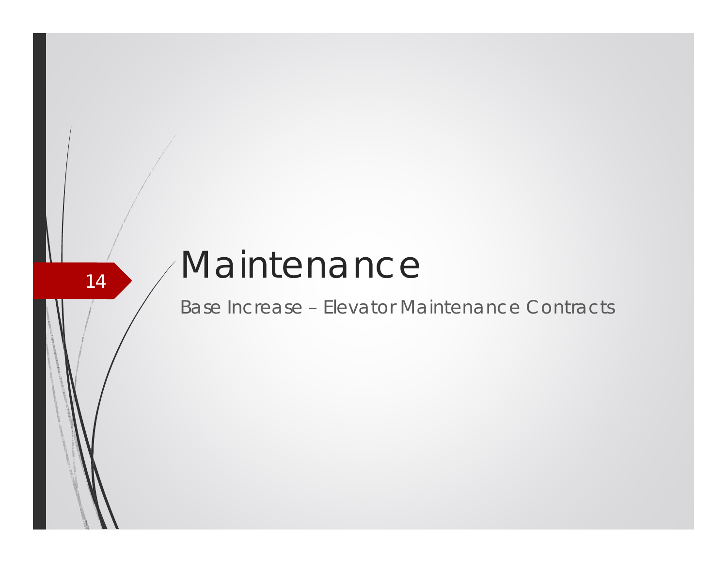### Maintenance

14

Base Increase – Elevator Maintenance Contracts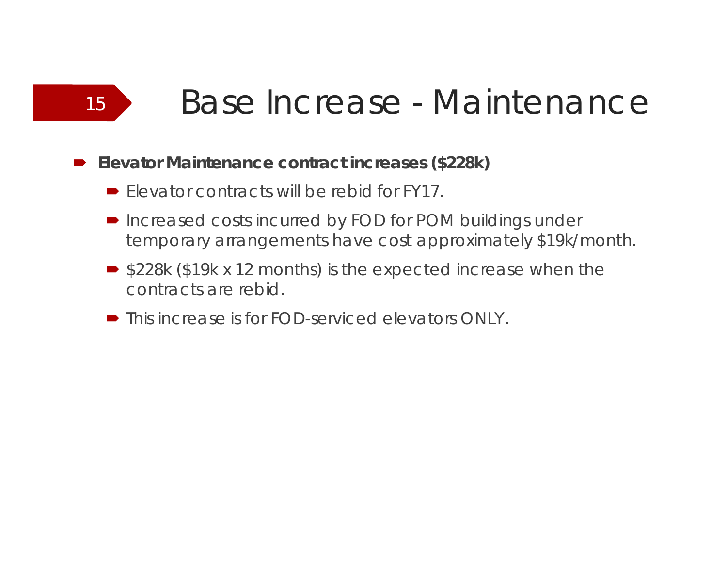#### Base Increase - Maintenance

#### **Elevator Maintenance contract increases (\$228k)**

- **Elevator contracts will be rebid for FY17.**
- Increased costs incurred by FOD for POM buildings under temporary arrangements have cost approximately \$19k/month.
- \$228k (\$19k x 12 months) is the expected increase when the contracts are rebid.
- **•** This increase is for FOD-serviced elevators ONLY.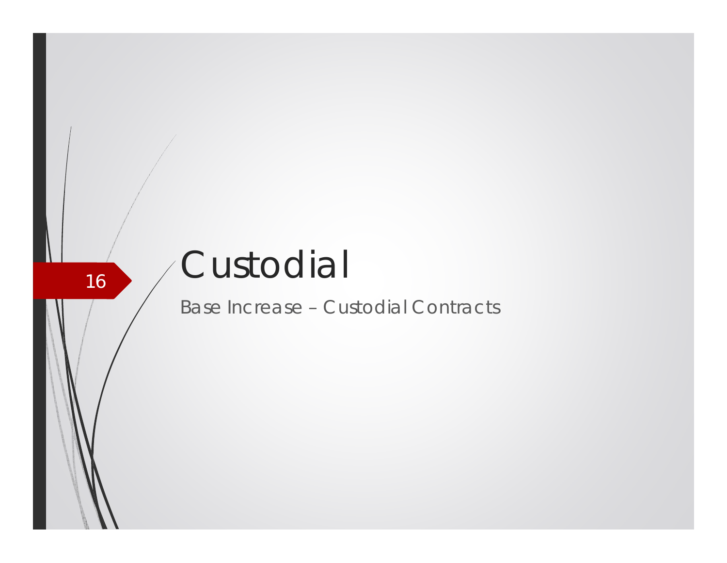# Custodial

16

#### Base Increase – Custodial Contracts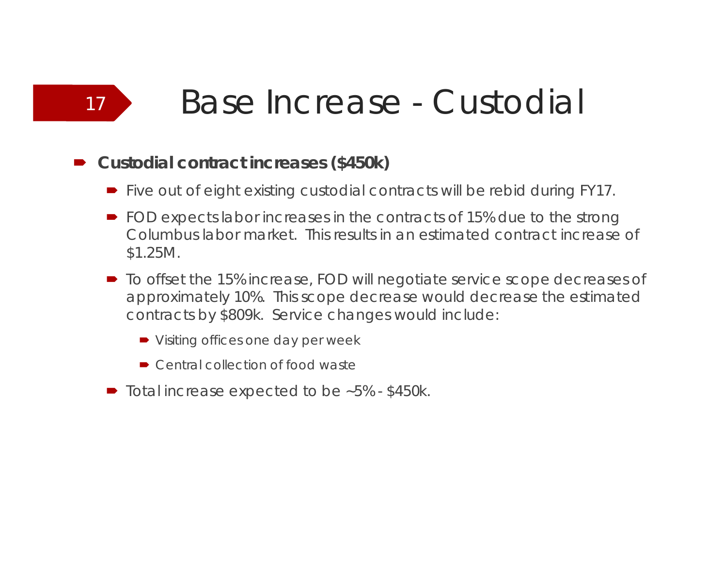#### Base Increase - Custodial

#### **Custodial contract increases (\$450k)**

- Five out of eight existing custodial contracts will be rebid during FY17.
- FOD expects labor increases in the contracts of 15% due to the strong Columbus labor market. This results in an estimated contract increase of \$1.25M.
- To offset the 15% increase, FOD will negotiate service scope decreases of approximately 10%. This scope decrease would decrease the estimated contracts by \$809k. Service changes would include:
	- Visiting offices one day per week
	- Central collection of food waste
- Total increase expected to be ~5% \$450k.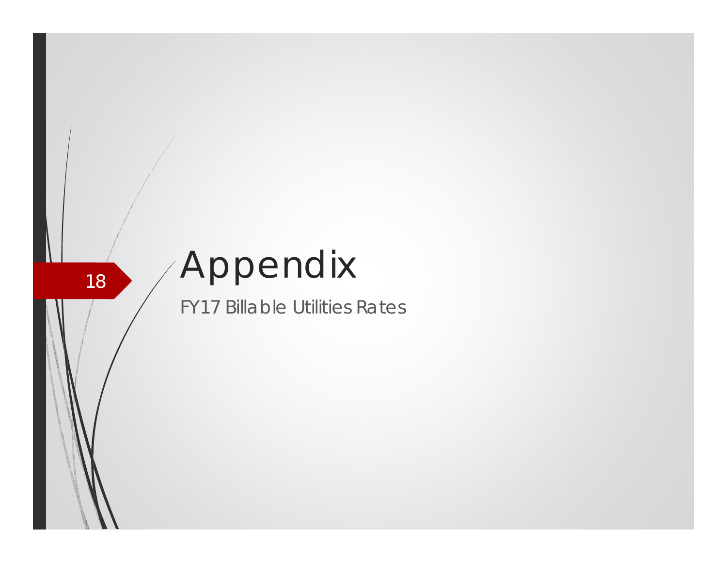# Appendix

18

FY17 Billable Utilities Rates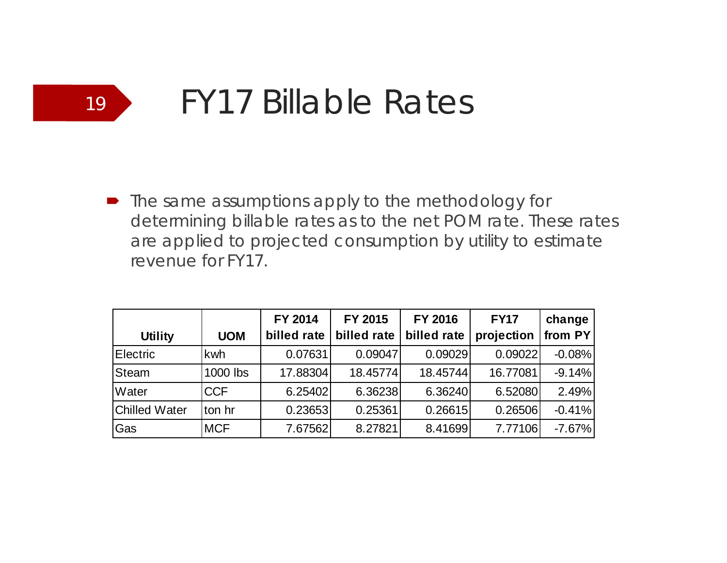### FY17 Billable Rates

• The same assumptions apply to the methodology for determining billable rates as to the net POM rate. These rates are applied to projected consumption by utility to estimate revenue for FY17.

|                      |            | FY 2014     | FY 2015     | FY 2016     | <b>FY17</b> | change   |
|----------------------|------------|-------------|-------------|-------------|-------------|----------|
| <b>Utility</b>       | <b>UOM</b> | billed rate | billed rate | billed rate | projection  | from PY  |
| <b>Electric</b>      | kwh        | 0.07631     | 0.09047     | 0.09029     | 0.09022     | $-0.08%$ |
| Steam                | 1000 lbs   | 17.88304    | 18.45774    | 18.45744    | 16.77081    | $-9.14%$ |
| Water                | <b>CCF</b> | 6.25402     | 6.36238     | 6.36240     | 6.52080     | 2.49%    |
| <b>Chilled Water</b> | ton hr     | 0.23653     | 0.25361     | 0.26615     | 0.26506     | $-0.41%$ |
| Gas                  | <b>MCF</b> | 7.67562     | 8.27821     | 8.41699     | 7.77106     | $-7.67%$ |